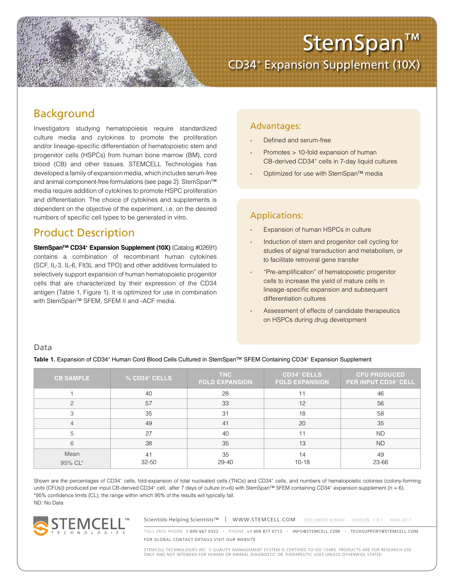

# Background

Investigators studying hematopoiesis require standardized culture media and cytokines to promote the proliferation and/or lineage-specific differentiation of hematopoietic stem and progenitor cells (HSPCs) from human bone marrow (BM), cord blood (CB) and other tissues. STEMCELL Technologies has developed a family of expansion media, which includes serum-free and animal component-free formulations (see page 2). StemSpan™ media require addition of cytokines to promote HSPC proliferation and differentiation. The choice of cytokines and supplements is dependent on the objective of the experiment, i.e. on the desired numbers of specific cell types to be generated in vitro.

# Product Description

**StemSpan<sup>™</sup> CD34<sup>+</sup> Expansion Supplement (10X)** (Catalog #02691) contains a combination of recombinant human cytokines (SCF, IL-3, IL-6, Flt3L and TPO) and other additives formulated to selectively support expansion of human hematopoietic progenitor cells that are characterized by their expression of the CD34 antigen (Table 1, Figure 1). It is optimized for use in combination with StemSpan™ SFEM, SFEM II and -ACF media.

## Advantages:

- Defined and serum-free
- Promotes > 10-fold expansion of human CB-derived CD34<sup>+</sup> cells in 7-day liquid cultures
- Optimized for use with StemSpan™ media

# Applications:

- Expansion of human HSPCs in culture
- Induction of stem and progenitor cell cycling for studies of signal transduction and metabolism, or to facilitate retroviral gene transfer
- "Pre-amplification" of hematopoietic progenitor cells to increase the yield of mature cells in lineage-specific expansion and subsequent differentiation cultures
- Assessment of effects of candidate therapeutics on HSPCs during drug development

### Data

Table 1. Expansion of CD34<sup>+</sup> Human Cord Blood Cells Cultured in StemSpan™ SFEM Containing CD34<sup>+</sup> Expansion Supplement

| <b>CB SAMPLE</b> | $\%$ CD34 $^+$ CELLS | <b>TNC</b><br><b>FOLD EXPANSION</b> | <b>CD34<sup>+</sup> CELLS</b><br><b>FOLD EXPANSION</b> | <b>CFU PRODUCED</b><br><b>PER INPUT CD34+ CELL</b> |
|------------------|----------------------|-------------------------------------|--------------------------------------------------------|----------------------------------------------------|
|                  | 40                   | 28                                  |                                                        | 46                                                 |
| っ                | 57                   | 33                                  | 12                                                     | 56                                                 |
| 3                | 35                   | 31                                  | 18                                                     | 58                                                 |
|                  | 49                   | 41                                  | 20                                                     | 35                                                 |
| 5                | 27                   | 40                                  | 11                                                     | <b>ND</b>                                          |
| 6                | 38                   | 35                                  | 13                                                     | <b>ND</b>                                          |
| Mean<br>95% CL*  | 41<br>$32 - 50$      | 35<br>29-40                         | 14<br>$10 - 18$                                        | 49<br>23-66                                        |

Shown are the percentages of CD34+ cells, fold-expansion of total nucleated cells (TNCs) and CD34+ cells, and numbers of hematopoietic colonies (colony-forming units (CFUs)) produced per input CB-derived CD34+ cell, after 7 days of culture (n=6) with StemSpan™ SFEM containing CD34+ expansion supplement (n = 6). \*95% confidence limits (CL); the range within which 95% of the results will typically fall. ND: No Data



Scientists Helping Scientists™ | WWW.STEMCELL.COM DOCUMENT #28083 VERSION 1.0.1 MAR 2017

TOLL FREE PHONE 1 800 667 0322 • PHONE +1 604 877 0713 • INFO@STEMCELL.COM • TECHSUPPORT@STEMCELL.COM FOR GLOBAL CONTACT DETAILS VISIT OUR WEBSITE

STEMCELL TECHNOLOGIES INC.'S QUALITY MANAGEMENT SYSTEM IS CERTIFIED TO ISO 13485. PRODUCTS ARE FOR RESEARCH USE ONLY AND NOT INTENDED FOR HUMAN OR ANIMAL DIAGNOSTIC OR THERAPEUTIC USES UNLESS OTHERWISE STATED.